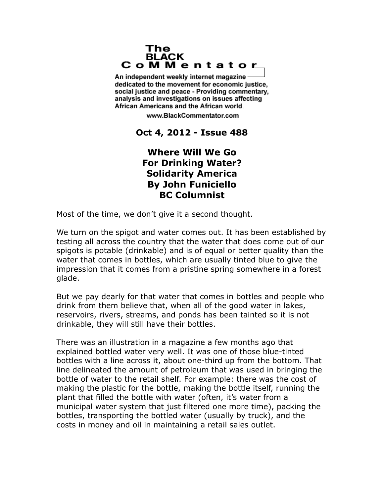## The **BLACK** CoMMentator

An independent weekly internet magazine dedicated to the movement for economic justice. social justice and peace - Providing commentary, analysis and investigations on issues affecting African Americans and the African world.

www.BlackCommentator.com

**Oct 4, 2012 - Issue 488**

## **Where Will We Go For Drinking Water? Solidarity America By John Funiciello BC Columnist**

Most of the time, we don't give it a second thought.

We turn on the spigot and water comes out. It has been established by testing all across the country that the water that does come out of our spigots is potable (drinkable) and is of equal or better quality than the water that comes in bottles, which are usually tinted blue to give the impression that it comes from a pristine spring somewhere in a forest glade.

But we pay dearly for that water that comes in bottles and people who drink from them believe that, when all of the good water in lakes, reservoirs, rivers, streams, and ponds has been tainted so it is not drinkable, they will still have their bottles.

There was an illustration in a magazine a few months ago that explained bottled water very well. It was one of those blue-tinted bottles with a line across it, about one-third up from the bottom. That line delineated the amount of petroleum that was used in bringing the bottle of water to the retail shelf. For example: there was the cost of making the plastic for the bottle, making the bottle itself, running the plant that filled the bottle with water (often, it's water from a municipal water system that just filtered one more time), packing the bottles, transporting the bottled water (usually by truck), and the costs in money and oil in maintaining a retail sales outlet.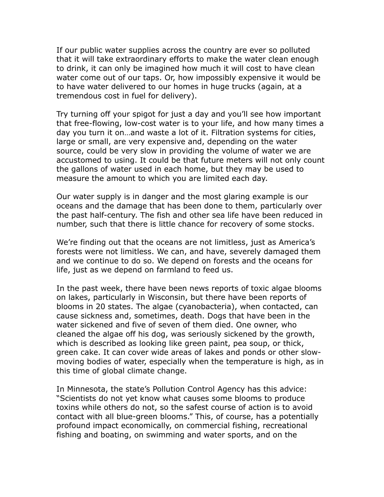If our public water supplies across the country are ever so polluted that it will take extraordinary efforts to make the water clean enough to drink, it can only be imagined how much it will cost to have clean water come out of our taps. Or, how impossibly expensive it would be to have water delivered to our homes in huge trucks (again, at a tremendous cost in fuel for delivery).

Try turning off your spigot for just a day and you'll see how important that free-flowing, low-cost water is to your life, and how many times a day you turn it on…and waste a lot of it. Filtration systems for cities, large or small, are very expensive and, depending on the water source, could be very slow in providing the volume of water we are accustomed to using. It could be that future meters will not only count the gallons of water used in each home, but they may be used to measure the amount to which you are limited each day.

Our water supply is in danger and the most glaring example is our oceans and the damage that has been done to them, particularly over the past half-century. The fish and other sea life have been reduced in number, such that there is little chance for recovery of some stocks.

We're finding out that the oceans are not limitless, just as America's forests were not limitless. We can, and have, severely damaged them and we continue to do so. We depend on forests and the oceans for life, just as we depend on farmland to feed us.

In the past week, there have been news reports of toxic algae blooms on lakes, particularly in Wisconsin, but there have been reports of blooms in 20 states. The algae (cyanobacteria), when contacted, can cause sickness and, sometimes, death. Dogs that have been in the water sickened and five of seven of them died. One owner, who cleaned the algae off his dog, was seriously sickened by the growth, which is described as looking like green paint, pea soup, or thick, green cake. It can cover wide areas of lakes and ponds or other slowmoving bodies of water, especially when the temperature is high, as in this time of global climate change.

In Minnesota, the state's Pollution Control Agency has this advice: "Scientists do not yet know what causes some blooms to produce toxins while others do not, so the safest course of action is to avoid contact with all blue-green blooms." This, of course, has a potentially profound impact economically, on commercial fishing, recreational fishing and boating, on swimming and water sports, and on the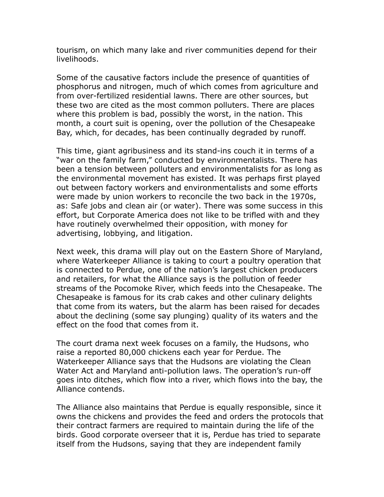tourism, on which many lake and river communities depend for their livelihoods.

Some of the causative factors include the presence of quantities of phosphorus and nitrogen, much of which comes from agriculture and from over-fertilized residential lawns. There are other sources, but these two are cited as the most common polluters. There are places where this problem is bad, possibly the worst, in the nation. This month, a court suit is opening, over the pollution of the Chesapeake Bay, which, for decades, has been continually degraded by runoff.

This time, giant agribusiness and its stand-ins couch it in terms of a "war on the family farm," conducted by environmentalists. There has been a tension between polluters and environmentalists for as long as the environmental movement has existed. It was perhaps first played out between factory workers and environmentalists and some efforts were made by union workers to reconcile the two back in the 1970s, as: Safe jobs and clean air (or water). There was some success in this effort, but Corporate America does not like to be trifled with and they have routinely overwhelmed their opposition, with money for advertising, lobbying, and litigation.

Next week, this drama will play out on the Eastern Shore of Maryland, where Waterkeeper Alliance is taking to court a poultry operation that is connected to Perdue, one of the nation's largest chicken producers and retailers, for what the Alliance says is the pollution of feeder streams of the Pocomoke River, which feeds into the Chesapeake. The Chesapeake is famous for its crab cakes and other culinary delights that come from its waters, but the alarm has been raised for decades about the declining (some say plunging) quality of its waters and the effect on the food that comes from it.

The court drama next week focuses on a family, the Hudsons, who raise a reported 80,000 chickens each year for Perdue. The Waterkeeper Alliance says that the Hudsons are violating the Clean Water Act and Maryland anti-pollution laws. The operation's run-off goes into ditches, which flow into a river, which flows into the bay, the Alliance contends.

The Alliance also maintains that Perdue is equally responsible, since it owns the chickens and provides the feed and orders the protocols that their contract farmers are required to maintain during the life of the birds. Good corporate overseer that it is, Perdue has tried to separate itself from the Hudsons, saying that they are independent family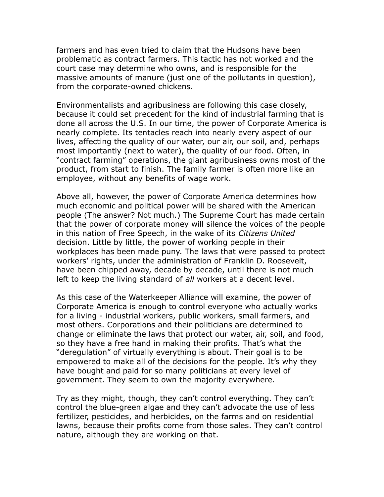farmers and has even tried to claim that the Hudsons have been problematic as contract farmers. This tactic has not worked and the court case may determine who owns, and is responsible for the massive amounts of manure (just one of the pollutants in question), from the corporate-owned chickens.

Environmentalists and agribusiness are following this case closely, because it could set precedent for the kind of industrial farming that is done all across the U.S. In our time, the power of Corporate America is nearly complete. Its tentacles reach into nearly every aspect of our lives, affecting the quality of our water, our air, our soil, and, perhaps most importantly (next to water), the quality of our food. Often, in "contract farming" operations, the giant agribusiness owns most of the product, from start to finish. The family farmer is often more like an employee, without any benefits of wage work.

Above all, however, the power of Corporate America determines how much economic and political power will be shared with the American people (The answer? Not much.) The Supreme Court has made certain that the power of corporate money will silence the voices of the people in this nation of Free Speech, in the wake of its *Citizens United*  decision. Little by little, the power of working people in their workplaces has been made puny. The laws that were passed to protect workers' rights, under the administration of Franklin D. Roosevelt, have been chipped away, decade by decade, until there is not much left to keep the living standard of *all* workers at a decent level.

As this case of the Waterkeeper Alliance will examine, the power of Corporate America is enough to control everyone who actually works for a living - industrial workers, public workers, small farmers, and most others. Corporations and their politicians are determined to change or eliminate the laws that protect our water, air, soil, and food, so they have a free hand in making their profits. That's what the "deregulation" of virtually everything is about. Their goal is to be empowered to make all of the decisions for the people. It's why they have bought and paid for so many politicians at every level of government. They seem to own the majority everywhere.

Try as they might, though, they can't control everything. They can't control the blue-green algae and they can't advocate the use of less fertilizer, pesticides, and herbicides, on the farms and on residential lawns, because their profits come from those sales. They can't control nature, although they are working on that.